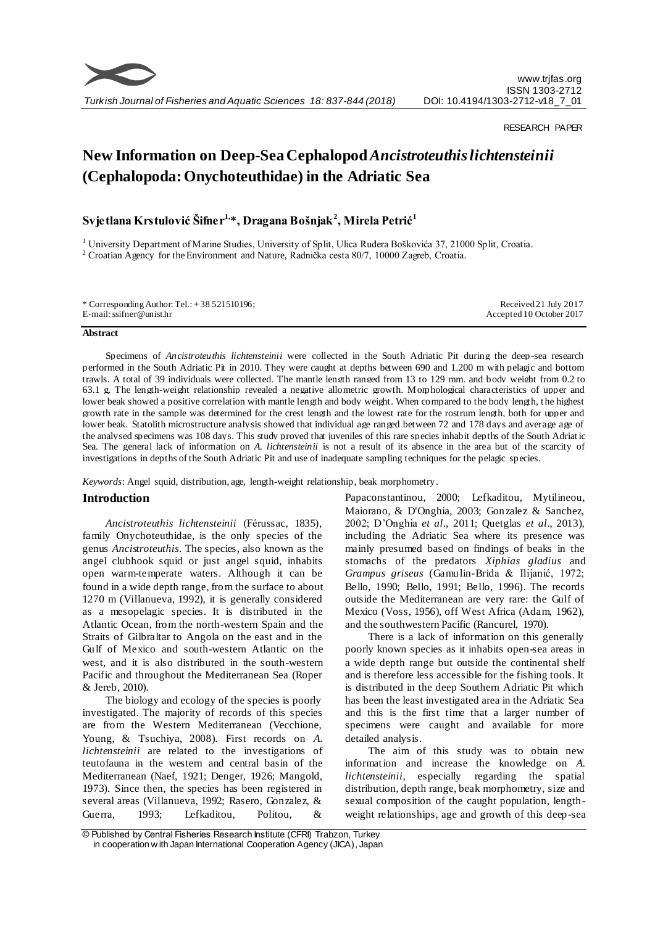

# RESEARCH PAPER

# **New Information on Deep-Sea Cephalopod** *Ancistroteuthis lichtensteinii*  **(Cephalopoda: Onychoteuthidae) in the Adriatic Sea**

# **Svjetlana Krstulović Šifner1, \*, Dragana Bošnjak<sup>2</sup> , Mirela Petrić<sup>1</sup>**

<sup>1</sup> University Department of Marine Studies, University of Split, Ulica Ruđera Boškovića 37, 21000 Split, Croatia. <sup>2</sup> Croatian Agency for the Environment and Nature, Radnička cesta 80/7, 10000 Zagreb, Croatia.

#### **Abstract**

Specimens of *Ancistroteuthis lichtensteinii* were collected in the South Adriatic Pit during the deep-sea research performed in the South Adriatic Pit in 2010. They were caught at depths between 690 and 1.200 m with pelagic and bottom trawls. A total of 39 individuals were collected. The mantle length ranged from 13 to 129 mm, and body weight from 0.2 to 63.1 g. The length-weight relationship revealed a negative allometric growth. Morphological characteristics of upper and lower beak showed a positive correlation with mantle length and body weight. When compared to the body length, the highest growth rate in the sample was determined for the crest length and the lowest rate for the rostrum length, both for upper and lower beak. Statolith microstructure analysis showed that individual age ranged between 72 and 178 days and average age of the analysed specimens was 108 days. This study proved that juveniles of this rare species inhabit depths of the South Adriat ic Sea. The general lack of information on *A. lichtensteinii* is not a result of its absence in the area but of the scarcity of investigations in depths of the South Adriatic Pit and use of inadequate sampling techniques for the pelagic species.

*Keywords*: Angel squid, distribution, age, length-weight relationship, beak morphometry.

# **Introduction**

*Ancistroteuthis lichtensteinii* (Férussac, 1835), family Onychoteuthidae, is the only species of the genus *Ancistroteuthis*. The species, also known as the angel clubhook squid or just angel squid, inhabits open warm-temperate waters. Although it can be found in a wide depth range, from the surface to about 1270 m (Villanueva, 1992), it is generally considered as a mesopelagic species. It is distributed in the Atlantic Ocean, from the north-western Spain and the Straits of Gilbraltar to Angola on the east and in the Gulf of Mexico and south-western Atlantic on the west, and it is also distributed in the south-western Pacific and throughout the Mediterranean Sea (Roper & Jereb, 2010).

The biology and ecology of the species is poorly investigated. The majority of records of this species are from the Western Mediterranean (Vecchione, Young, & Tsuchiya, 2008). First records on *A. lichtensteinii* are related to the investigations of teutofauna in the western and central basin of the Mediterranean (Naef, 1921; Denger, 1926; Mangold, 1973). Since then, the species has been registered in several areas (Villanueva, 1992; Rasero, Gonzalez, & Guerra, 1993; Lefkaditou, Politou, &

Papaconstantinou, 2000; Lefkaditou, Mytilineou, Maiorano, & D'Onghia, 2003; Gonzalez & Sanchez, 2002; D'Onghia *et al*., 2011; Quetglas *et al*., 2013), including the Adriatic Sea where its presence was mainly presumed based on findings of beaks in the stomachs of the predators *Xiphias gladius* and *Grampus griseus* (Gamulin-Brida & Ilijanić, 1972; Bello, 1990; Bello, 1991; Bello, 1996). The records outside the Mediterranean are very rare: the Gulf of Mexico (Voss, 1956), off West Africa (Adam, 1962), and the southwestern Pacific (Rancurel, 1970).

There is a lack of information on this generally poorly known species as it inhabits open-sea areas in a wide depth range but outside the continental shelf and is therefore less accessible for the fishing tools. It is distributed in the deep Southern Adriatic Pit which has been the least investigated area in the Adriatic Sea and this is the first time that a larger number of specimens were caught and available for more detailed analysis.

The aim of this study was to obtain new information and increase the knowledge on *A. lichtensteinii*, especially regarding the spatial distribution, depth range, beak morphometry, size and sexual composition of the caught population, lengthweight relationships, age and growth of this deep-sea

<sup>©</sup> Published by Central Fisheries Research Institute (CFRI) Trabzon, Turkey in cooperation w ith Japan International Cooperation Agency (JICA), Japan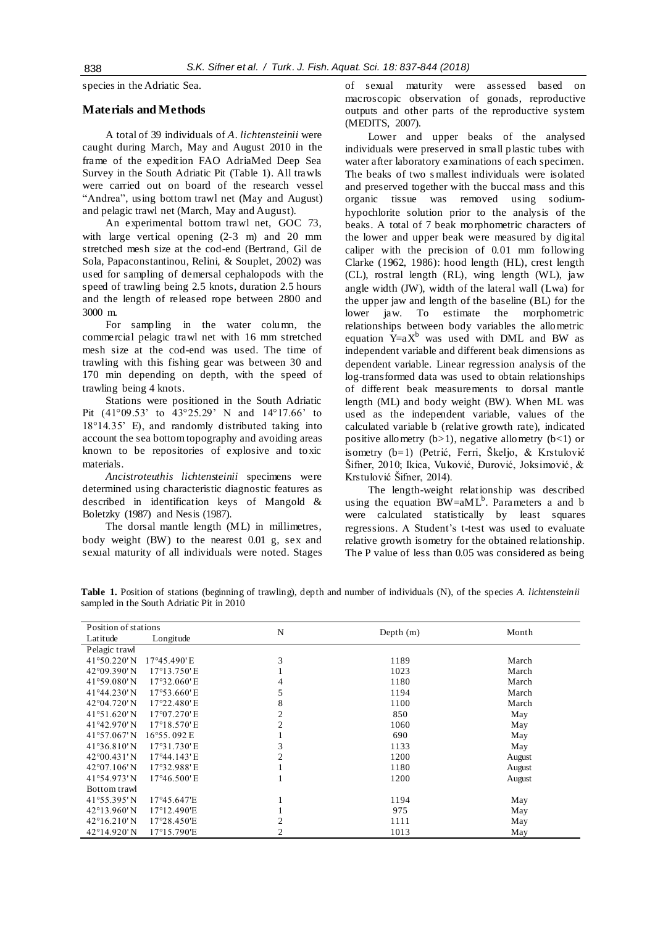species in the Adriatic Sea.

# **Materials and Methods**

A total of 39 individuals of *A. lichtensteinii* were caught during March, May and August 2010 in the frame of the expedition FAO AdriaMed Deep Sea Survey in the South Adriatic Pit (Table 1). All trawls were carried out on board of the research vessel "Andrea", using bottom trawl net (May and August) and pelagic trawl net (March, May and August).

An experimental bottom trawl net, GOC 73, with large vertical opening  $(2-3$  m) and 20 mm stretched mesh size at the cod-end (Bertrand, Gil de Sola, Papaconstantinou, Relini, & Souplet, 2002) was used for sampling of demersal cephalopods with the speed of trawling being 2.5 knots, duration 2.5 hours and the length of released rope between 2800 and 3000 m.

For sampling in the water column, the commercial pelagic trawl net with 16 mm stretched mesh size at the cod-end was used. The time of trawling with this fishing gear was between 30 and 170 min depending on depth, with the speed of trawling being 4 knots.

Stations were positioned in the South Adriatic Pit (41°09.53' to 43°25.29' N and 14°17.66' to 18°14.35' E), and randomly distributed taking into account the sea bottom topography and avoiding areas known to be repositories of explosive and toxic materials.

*Ancistroteuthis lichtensteinii* specimens were determined using characteristic diagnostic features as described in identification keys of Mangold & Boletzky (1987) and Nesis (1987).

The dorsal mantle length (ML) in millimetres, body weight (BW) to the nearest 0.01 g, sex and sexual maturity of all individuals were noted. Stages of sexual maturity were assessed based on macroscopic observation of gonads, reproductive outputs and other parts of the reproductive system (MEDITS, 2007).

Lower and upper beaks of the analysed individuals were preserved in small plastic tubes with water after laboratory examinations of each specimen. The beaks of two s mallest individuals were isolated and preserved together with the buccal mass and this organic tissue was removed using sodiumhypochlorite solution prior to the analysis of the beaks. A total of 7 beak morphometric characters of the lower and upper beak were measured by digital caliper with the precision of 0.01 mm following Clarke (1962, 1986): hood length (HL), crest length (CL), rostral length (RL), wing length (WL), jaw angle width (JW), width of the lateral wall (Lwa) for the upper jaw and length of the baseline (BL) for the lower jaw. To estimate the morphometric relationships between body variables the allometric equation  $Y=aX^b$  was used with DML and BW as independent variable and different beak dimensions as dependent variable. Linear regression analysis of the log-transformed data was used to obtain relationships of different beak measurements to dorsal mantle length (ML) and body weight (BW). When ML was used as the independent variable, values of the calculated variable b (relative growth rate), indicated positive allometry  $(b>1)$ , negative allometry  $(b<1)$  or isometry (b=1) (Petrić, Ferri, Škeljo, & Krstulović Šifner, 2010; Ikica, Vuković, Đurović, Joksimović, & Krstulović Šifner, 2014).

The length-weight relationship was described using the equation  $BW=aML^b$ . Parameters a and b were calculated statistically by least squares regressions. A Student's t-test was used to evaluate relative growth isometry for the obtained relationship. The P value of less than 0.05 was considered as being

**Table 1.** Position of stations (beginning of trawling), depth and number of individuals (N), of the species *A. lichtensteinii* sampled in the South Adriatic Pit in 2010

| Position of stations          |                       | N              |             |        |  |
|-------------------------------|-----------------------|----------------|-------------|--------|--|
| Latitude                      | Longitude             |                | Depth $(m)$ | Month  |  |
| Pelagic trawl                 |                       |                |             |        |  |
| 41°50.220'N                   | 17°45.490'E           | 3              | 1189        | March  |  |
| 42°09.390'N                   | 17°13.750'E           |                | 1023        | March  |  |
| 41°59.080'N                   | 17°32.060'E           |                | 1180        | March  |  |
| 41°44.230'N                   | 17°53.660'E           | 5              | 1194        | March  |  |
| 42°04.720'N                   | 17°22.480'E           | 8              | 1100        | March  |  |
| $41°51.620'$ N                | 17°07.270'E           | 2              | 850         | May    |  |
| 41°42.970'N                   | 17°18.570'E           | $\overline{c}$ | 1060        | May    |  |
| 41°57.067'N                   | 16°55.092 E           |                | 690         | May    |  |
| $41°36.810'$ N                | 17°31.730'E           | 3              | 1133        | May    |  |
| $42^{\circ}00.431'$ N         | $17^{\circ}44.143$ 'E | $\overline{2}$ | 1200        | August |  |
| $42^{\circ}07.106'$ N         | 17°32.988'E           |                | 1180        | August |  |
| 41°54.973'N                   | $17^{\circ}46.500$ 'E |                | 1200        | August |  |
| Bottom trawl                  |                       |                |             |        |  |
| 41°55.395'N                   | 17°45.647'E           |                | 1194        | May    |  |
| $42^{\circ}13.960^{\prime}$ N | 17°12.490'E           |                | 975         | May    |  |
| 42°16.210'N                   | 17°28.450'E           | $\overline{2}$ | 1111        | May    |  |
| 42°14.920'N                   | 17°15.790'E           | $\overline{c}$ | 1013        | May    |  |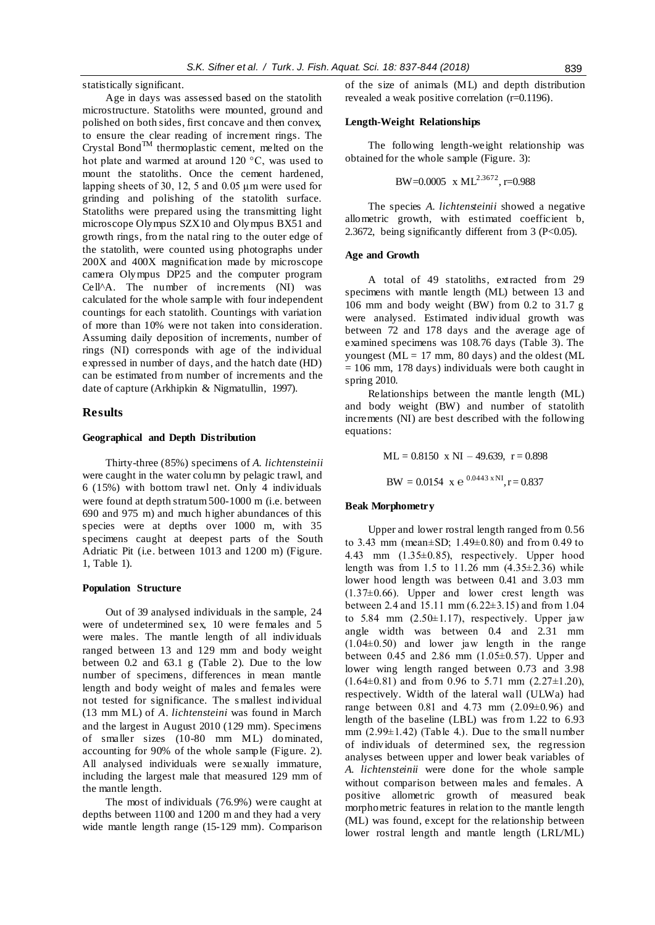statistically significant.

Age in days was assessed based on the statolith microstructure. Statoliths were mounted, ground and polished on both sides, first concave and then convex, to ensure the clear reading of increment rings. The Crystal Bond<sup>TM</sup> thermoplastic cement, melted on the hot plate and warmed at around 120 °C, was used to mount the statoliths. Once the cement hardened, lapping sheets of 30, 12, 5 and 0.05 μm were used for grinding and polishing of the statolith surface. Statoliths were prepared using the transmitting light microscope Olympus SZX10 and Olympus BX51 and growth rings, from the natal ring to the outer edge of the statolith, were counted using photographs under 200X and 400X magnification made by microscope camera Olympus DP25 and the computer program Cell^A. The number of increments (NI) was calculated for the whole sample with four independent countings for each statolith. Countings with variation of more than 10% were not taken into consideration. Assuming daily deposition of increments, number of rings (NI) corresponds with age of the individual expressed in number of days, and the hatch date (HD) can be estimated from number of increments and the date of capture (Arkhipkin & Nigmatullin, 1997).

#### **Results**

#### **Geographical and Depth Distribution**

Thirty-three (85%) specimens of *A. lichtensteinii* were caught in the water column by pelagic trawl, and 6 (15%) with bottom trawl net. Only 4 individuals were found at depth stratum 500-1000 m (i.e. between 690 and 975 m) and much higher abundances of this species were at depths over 1000 m, with 35 specimens caught at deepest parts of the South Adriatic Pit (i.e. between 1013 and 1200 m) (Figure. 1, Table 1).

#### **Population Structure**

Out of 39 analysed individuals in the sample, 24 were of undetermined sex, 10 were females and 5 were males. The mantle length of all individuals ranged between 13 and 129 mm and body weight between 0.2 and 63.1 g (Table 2). Due to the low number of specimens, differences in mean mantle length and body weight of males and females were not tested for significance. The s mallest individual (13 mm ML) of *A. lichtensteini* was found in March and the largest in August 2010 (129 mm). Specimens of smaller sizes (10-80 mm ML) dominated, accounting for 90% of the whole sample (Figure. 2). All analysed individuals were sexually immature, including the largest male that measured 129 mm of the mantle length.

The most of individuals (76.9%) were caught at depths between 1100 and 1200 m and they had a very wide mantle length range (15-129 mm). Comparison of the size of animals (ML) and depth distribution revealed a weak positive correlation (r=0.1196).

# **Length-Weight Relationships**

The following length-weight relationship was obtained for the whole sample (Figure. 3):

BW=0.0005 x ML2.3672, r=0.988

The species *A. lichtensteinii* showed a negative allometric growth, with estimated coefficient b, 2.3672, being significantly different from 3 ( $P<0.05$ ).

# **Age and Growth**

A total of 49 statoliths, extracted from 29 specimens with mantle length (ML) between 13 and 106 mm and body weight (BW) from 0.2 to 31.7 g were analysed. Estimated individual growth was between 72 and 178 days and the average age of examined specimens was 108.76 days (Table 3). The youngest ( $ML = 17$  mm, 80 days) and the oldest ( $ML$  $= 106$  mm, 178 days) individuals were both caught in spring 2010.

Relationships between the mantle length (ML) and body weight (BW) and number of statolith increments (NI) are best described with the following equations:

$$
ML = 0.8150 \text{ x NI} - 49.639, \text{ r} = 0.898
$$

 $BW = 0.0154 \times e^{-0.0443 \times NI}, r = 0.837$ 

# **Beak Morphometry**

Upper and lower rostral length ranged from 0.56 to 3.43 mm (mean±SD; 1.49±0.80) and from 0.49 to 4.43 mm (1.35±0.85), respectively. Upper hood length was from 1.5 to 11.26 mm  $(4.35\pm2.36)$  while lower hood length was between 0.41 and 3.03 mm  $(1.37\pm0.66)$ . Upper and lower crest length was between 2.4 and 15.11 mm (6.22±3.15) and from 1.04 to 5.84 mm  $(2.50\pm1.17)$ , respectively. Upper jaw angle width was between 0.4 and 2.31 mm  $(1.04\pm0.50)$  and lower jaw length in the range between 0.45 and 2.86 mm  $(1.05 \pm 0.57)$ . Upper and lower wing length ranged between 0.73 and 3.98  $(1.64\pm0.81)$  and from 0.96 to 5.71 mm  $(2.27\pm1.20)$ , respectively. Width of the lateral wall (ULWa) had range between 0.81 and 4.73 mm (2.09±0.96) and length of the baseline (LBL) was from 1.22 to 6.93 mm  $(2.99\pm1.42)$  (Table 4.). Due to the small number of individuals of determined sex, the regression analyses between upper and lower beak variables of *A. lichtensteinii* were done for the whole sample without comparison between males and females. A positive allometric growth of measured beak morphometric features in relation to the mantle length (ML) was found, except for the relationship between lower rostral length and mantle length (LRL/ML)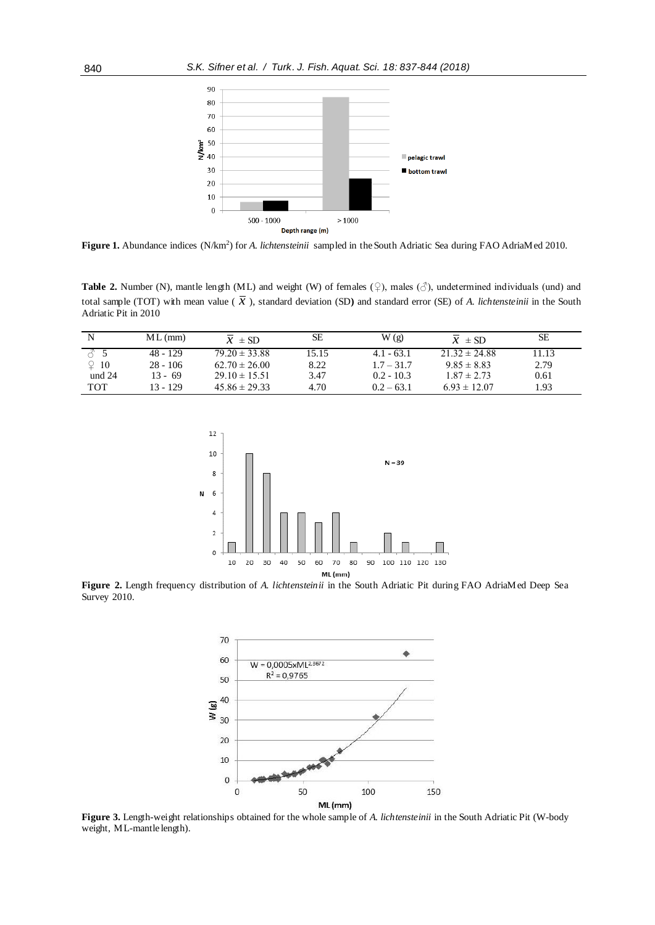

Figure 1. Abundance indices (N/km<sup>2</sup>) for *A. lichtensteinii* sampled in the South Adriatic Sea during FAO AdriaMed 2010.

**Table 2.** Number (N), mantle length (ML) and weight (W) of females  $(\varphi)$ , males  $(\varphi)$ , undetermined individuals (und) and total sample (TOT) with mean value ( $\bar{x}$ ), standard deviation (SD) and standard error (SE) of *A. lichtensteinii* in the South Adriatic Pit in 2010

|             | $ML$ (mm)  | $\overline{x}$ ± SD | SЕ    | W(g)         | $\overline{x} \pm SD$ | SЕ    |
|-------------|------------|---------------------|-------|--------------|-----------------------|-------|
|             | $48 - 129$ | $79.20 \pm 33.88$   | 15.15 | $4.1 - 63.1$ | $21.32 \pm 24.88$     | 11.13 |
| $\Omega$ 10 | $28 - 106$ | $62.70 \pm 26.00$   | 8.22  | $1.7 - 31.7$ | $9.85 \pm 8.83$       | 2.79  |
| und $24$    | $13 - 69$  | $29.10 \pm 15.51$   | 3.47  | $0.2 - 10.3$ | $1.87 \pm 2.73$       | 0.61  |
| <b>TOT</b>  | $13 - 129$ | $45.86 \pm 29.33$   | 4.70  | $0.2 - 63.1$ | $6.93 \pm 12.07$      | 1.93  |



**Figure 2.** Length frequency distribution of *A. lichtensteinii* in the South Adriatic Pit during FAO AdriaMed Deep Sea Survey 2010.



**Figure 3.** Length-weight relationships obtained for the whole sample of *A. lichtensteinii* in the South Adriatic Pit (W-body weight, ML-mantle length).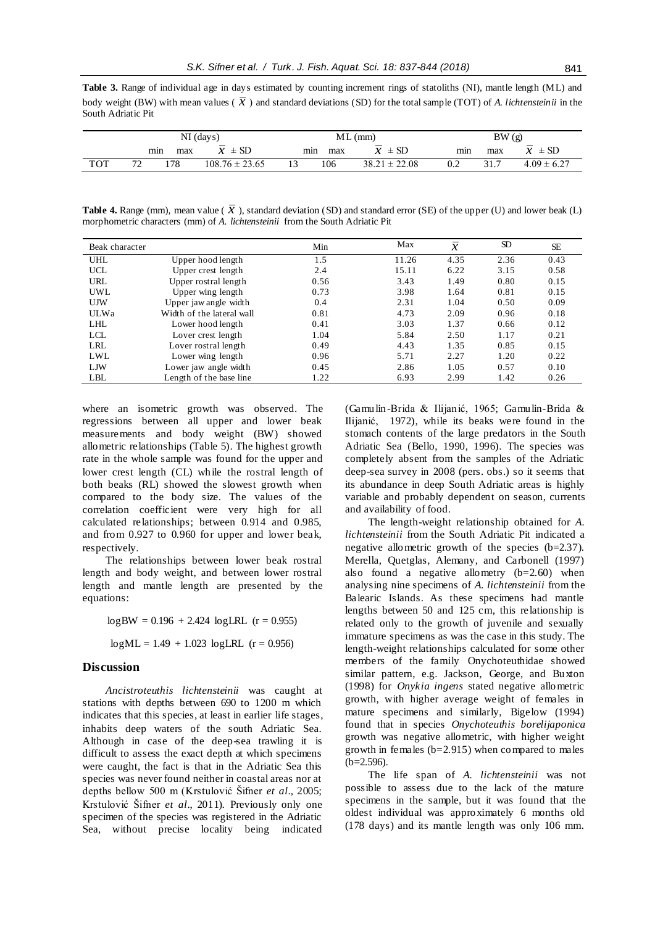**Table 3.** Range of individual age in days estimated by counting increment rings of statoliths (NI), mantle length (ML) and body weight (BW) with mean values ( $\bar{x}$ ) and standard deviations (SD) for the total sample (TOT) of *A. lichtensteinii* in the South Adriatic Pit

|            | $NI$ (days) |     |                                                      | $ML$ (mm) |     |                                 | BW(g) |      |                       |
|------------|-------------|-----|------------------------------------------------------|-----------|-----|---------------------------------|-------|------|-----------------------|
|            | mın         | max | $\overline{\phantom{0}}$<br>$\pm$ SD<br>$\mathbf{A}$ | min       | max | $\overline{A}$<br>$\pm$ SD<br>⋏ | min   | max  | $\pm$ SD<br>$\bullet$ |
| <b>TOT</b> | 70<br>∼     | 178 | $108.76 \pm 23.65$                                   | 13        | 106 | $38.21 \pm 22.08$               | 0.2   | 31.7 | $4.09 \pm 6.27$       |

**Table 4.** Range (mm), mean value ( $\bar{x}$ ), standard deviation (SD) and standard error (SE) of the upper (U) and lower beak (L) morphometric characters (mm) of *A. lichtensteinii* from the South Adriatic Pit

| Beak character |                           | Min  | Max   | $\overline{x}$ | <b>SD</b> | <b>SE</b> |
|----------------|---------------------------|------|-------|----------------|-----------|-----------|
| <b>UHL</b>     | Upper hood length         | 1.5  | 11.26 | 4.35           | 2.36      | 0.43      |
| UCL            | Upper crest length        | 2.4  | 15.11 | 6.22           | 3.15      | 0.58      |
| <b>URL</b>     | Upper rostral length      | 0.56 | 3.43  | 1.49           | 0.80      | 0.15      |
| UWL.           | Upper wing length         | 0.73 | 3.98  | 1.64           | 0.81      | 0.15      |
| <b>UJW</b>     | Upper jaw angle width     | 0.4  | 2.31  | 1.04           | 0.50      | 0.09      |
| <b>ULWa</b>    | Width of the lateral wall | 0.81 | 4.73  | 2.09           | 0.96      | 0.18      |
| <b>LHL</b>     | Lower hood length         | 0.41 | 3.03  | 1.37           | 0.66      | 0.12      |
| <b>LCL</b>     | Lover crest length        | 1.04 | 5.84  | 2.50           | 1.17      | 0.21      |
| <b>LRL</b>     | Lover rostral length      | 0.49 | 4.43  | 1.35           | 0.85      | 0.15      |
| LWL            | Lower wing length         | 0.96 | 5.71  | 2.27           | 1.20      | 0.22      |
| LJW            | Lower jaw angle width     | 0.45 | 2.86  | 1.05           | 0.57      | 0.10      |
| LBL            | Length of the base line   | 1.22 | 6.93  | 2.99           | 1.42      | 0.26      |

where an isometric growth was observed. The regressions between all upper and lower beak measurements and body weight (BW) showed allometric relationships (Table 5). The highest growth rate in the whole sample was found for the upper and lower crest length (CL) while the rostral length of both beaks (RL) showed the slowest growth when compared to the body size. The values of the correlation coefficient were very high for all calculated relationships; between 0.914 and 0.985, and from 0.927 to 0.960 for upper and lower beak, respectively.

The relationships between lower beak rostral length and body weight, and between lower rostral length and mantle length are presented by the equations:

> $logBW = 0.196 + 2.424 logLRL$  (r = 0.955)  $logML = 1.49 + 1.023 logLRL$  (r = 0.956)

# **Discussion**

*Ancistroteuthis lichtensteinii* was caught at stations with depths between 690 to 1200 m which indicates that this species, at least in earlier life stages, inhabits deep waters of the south Adriatic Sea. Although in case of the deep-sea trawling it is difficult to assess the exact depth at which specimens were caught, the fact is that in the Adriatic Sea this species was never found neither in coastal areas nor at depths bellow 500 m (Krstulović Šifner *et al*., 2005; Krstulović Šifner *et al*., 2011). Previously only one specimen of the species was registered in the Adriatic Sea, without precise locality being indicated (Gamulin-Brida & Ilijanić, 1965; Gamulin-Brida & Ilijanić, 1972), while its beaks were found in the stomach contents of the large predators in the South Adriatic Sea (Bello, 1990, 1996). The species was completely absent from the samples of the Adriatic deep-sea survey in 2008 (pers. obs.) so it seems that its abundance in deep South Adriatic areas is highly variable and probably dependent on season, currents and availability of food.

The length-weight relationship obtained for *A. lichtensteinii* from the South Adriatic Pit indicated a negative allometric growth of the species (b=2.37). Merella, Quetglas, Alemany, and Carbonell (1997) also found a negative allometry  $(b=2.60)$  when analysing nine specimens of *A. lichtensteinii* from the Balearic Islands. As these specimens had mantle lengths between 50 and 125 cm, this relationship is related only to the growth of juvenile and sexually immature specimens as was the case in this study. The length-weight relationships calculated for some other members of the family Onychoteuthidae showed similar pattern, e.g. Jackson, George, and Buxton (1998) for *Onykia ingens* stated negative allometric growth, with higher average weight of females in mature specimens and similarly, Bigelow (1994) found that in species *Onychoteuthis borelijaponica* growth was negative allometric, with higher weight growth in females (b=2.915) when compared to males  $(b=2.596)$ .

The life span of *A. lichtensteinii* was not possible to assess due to the lack of the mature specimens in the sample, but it was found that the oldest individual was approximately 6 months old (178 days) and its mantle length was only 106 mm.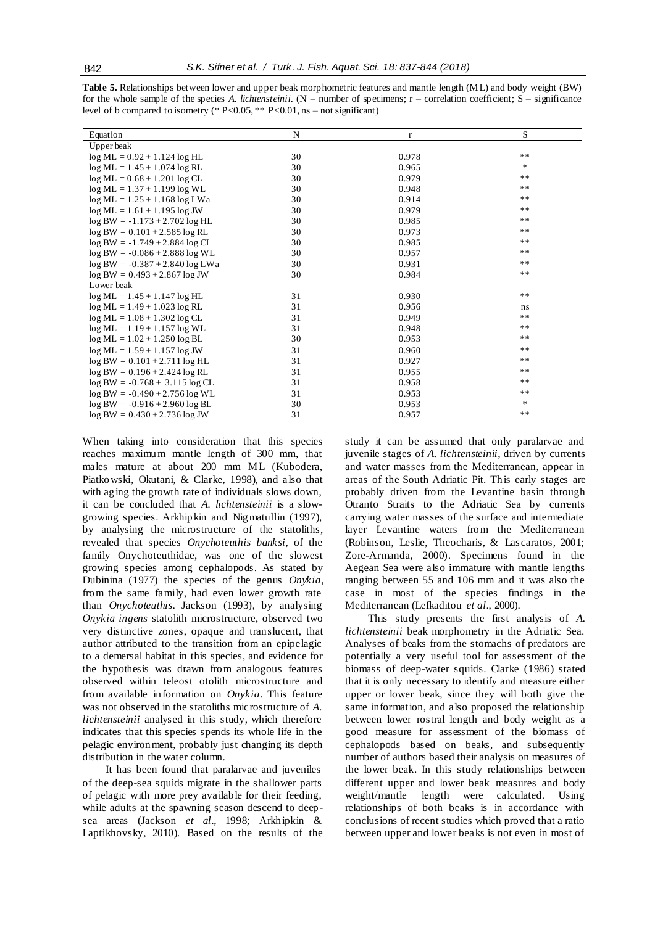|                                    |    |       | S      |
|------------------------------------|----|-------|--------|
| Equation                           | N  | r     |        |
| Upper beak                         |    |       |        |
| $log ML = 0.92 + 1.124 log HL$     | 30 | 0.978 | $***$  |
| $log ML = 1.45 + 1.074 log RL$     | 30 | 0.965 | $\ast$ |
| $log ML = 0.68 + 1.201 log CL$     | 30 | 0.979 | **     |
| $log ML = 1.37 + 1.199 log WL$     | 30 | 0.948 | $***$  |
| $log ML = 1.25 + 1.168 log LW$     | 30 | 0.914 | $***$  |
| $log ML = 1.61 + 1.195 log JW$     | 30 | 0.979 | $***$  |
| $log BW = -1.173 + 2.702 log HL$   | 30 | 0.985 | $***$  |
| $log BW = 0.101 + 2.585 log RL$    | 30 | 0.973 | $***$  |
| $log BW = -1.749 + 2.884 log CL$   | 30 | 0.985 | $***$  |
| $log BW = -0.086 + 2.888 log WL$   | 30 | 0.957 | $***$  |
| $log BW = -0.387 + 2.840 log LW$   | 30 | 0.931 | $**$   |
| $log BW = 0.493 + 2.867 log JW$    | 30 | 0.984 | $***$  |
| Lower beak                         |    |       |        |
| $log ML = 1.45 + 1.147 log HL$     | 31 | 0.930 | $***$  |
| $log ML = 1.49 + 1.023 log RL$     | 31 | 0.956 | ns.    |
| $log ML = 1.08 + 1.302 log CL$     | 31 | 0.949 | $***$  |
| $log ML = 1.19 + 1.157 log WL$     | 31 | 0.948 | $***$  |
| $log ML = 1.02 + 1.250 log BL$     | 30 | 0.953 | $***$  |
| $log ML = 1.59 + 1.157 log JW$     | 31 | 0.960 | $***$  |
| $log BW = 0.101 + 2.711 log HL$    | 31 | 0.927 | $***$  |
| $log BW = 0.196 + 2.424 log RL$    | 31 | 0.955 | $***$  |
| $\log BW = -0.768 + 3.115 \log CL$ | 31 | 0.958 | $***$  |
| $log BW = -0.490 + 2.756 log WL$   | 31 | 0.953 | **     |
| $log BW = -0.916 + 2.960 log BL$   | 30 | 0.953 | *      |
| $log BW = 0.430 + 2.736 log JW$    | 31 | 0.957 | $***$  |

**Table 5.** Relationships between lower and upper beak morphometric features and mantle length (ML) and body weight (BW) for the whole sample of the species *A. lichtensteinii*. (N – number of specimens; r – correlation coefficient; S – significance level of b compared to isometry (\*  $P<0.05$ , \*\*  $P<0.01$ , ns – not significant)

When taking into consideration that this species reaches maximum mantle length of 300 mm, that males mature at about 200 mm ML (Kubodera, Piatkowski, Okutani, & Clarke, 1998), and also that with aging the growth rate of individuals slows down, it can be concluded that *A. lichtensteinii* is a slowgrowing species. Arkhipkin and Nigmatullin (1997), by analysing the microstructure of the statoliths, revealed that species *Onychoteuthis banksi*, of the family Onychoteuthidae, was one of the slowest growing species among cephalopods. As stated by Dubinina (1977) the species of the genus *Onykia*, from the same family, had even lower growth rate than *Onychoteuthis*. Jackson (1993), by analysing *Onykia ingens* statolith microstructure, observed two very distinctive zones, opaque and translucent, that author attributed to the transition from an epipelagic to a demersal habitat in this species, and evidence for the hypothesis was drawn from analogous features observed within teleost otolith microstructure and from available information on *Onykia*. This feature was not observed in the statoliths microstructure of *A. lichtensteinii* analysed in this study, which therefore indicates that this species spends its whole life in the pelagic environment, probably just changing its depth distribution in the water column.

It has been found that paralarvae and juveniles of the deep-sea squids migrate in the shallower parts of pelagic with more prey available for their feeding, while adults at the spawning season descend to deepsea areas (Jackson *et al*., 1998; Arkhipkin & Laptikhovsky, 2010). Based on the results of the

study it can be assumed that only paralarvae and juvenile stages of *A. lichtensteinii*, driven by currents and water masses from the Mediterranean, appear in areas of the South Adriatic Pit. This early stages are probably driven from the Levantine basin through Otranto Straits to the Adriatic Sea by currents carrying water masses of the surface and intermediate layer Levantine waters from the Mediterranean (Robinson, Leslie, Theocharis, & Las caratos, 2001; Zore-Armanda, 2000). Specimens found in the Aegean Sea were also immature with mantle lengths ranging between 55 and 106 mm and it was also the case in most of the species findings in the Mediterranean (Lefkaditou *et al*., 2000).

This study presents the first analysis of *A. lichtensteinii* beak morphometry in the Adriatic Sea. Analyses of beaks from the stomachs of predators are potentially a very useful tool for assessment of the biomass of deep-water squids. Clarke (1986) stated that it is only necessary to identify and measure either upper or lower beak, since they will both give the same information, and also proposed the relationship between lower rostral length and body weight as a good measure for assessment of the biomass of cephalopods based on beaks, and subsequently number of authors based their analysis on measures of the lower beak. In this study relationships between different upper and lower beak measures and body weight/mantle length were calculated. Using relationships of both beaks is in accordance with conclusions of recent studies which proved that a ratio between upper and lower beaks is not even in most of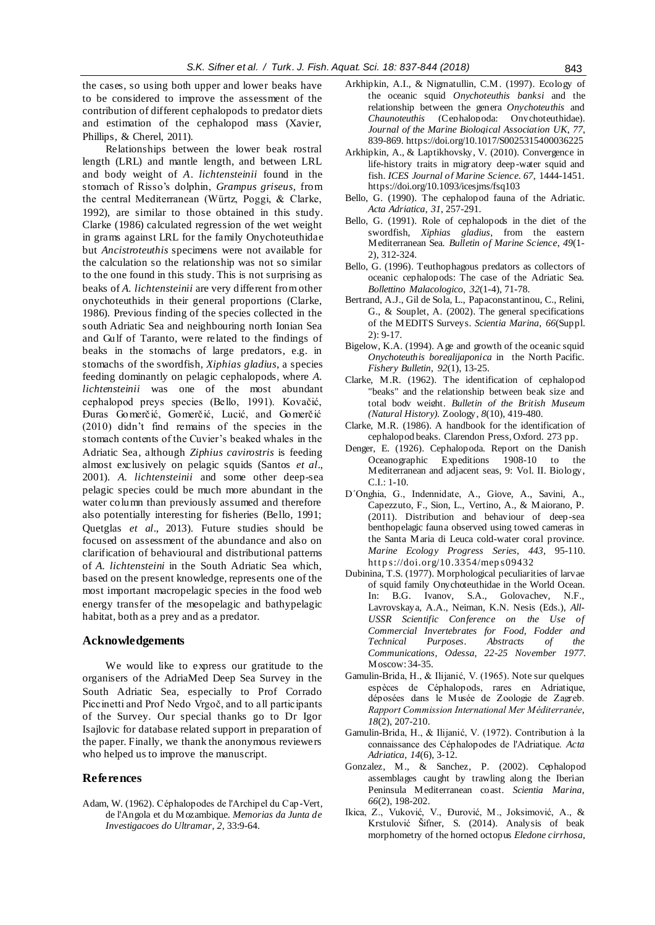the cases, so using both upper and lower beaks have to be considered to improve the assessment of the contribution of different cephalopods to predator diets and estimation of the cephalopod mass (Xavier, Phillips, & Cherel, 2011).

Relationships between the lower beak rostral length (LRL) and mantle length, and between LRL and body weight of *A*. *lichtensteinii* found in the stomach of Risso's dolphin, *Grampus griseus*, from the central Mediterranean (Würtz, Poggi, & Clarke, 1992), are similar to those obtained in this study. Clarke (1986) calculated regression of the wet weight in grams against LRL for the family Onychoteuthidae but *Ancistroteuthis* specimens were not available for the calculation so the relationship was not so similar to the one found in this study. This is not surprising as beaks of *A. lichtensteinii* are very different from other onychoteuthids in their general proportions (Clarke, 1986). Previous finding of the species collected in the south Adriatic Sea and neighbouring north Ionian Sea and Gulf of Taranto, were related to the findings of beaks in the stomachs of large predators, e.g. in stomachs of the swordfish, *Xiphias gladius*, a species feeding dominantly on pelagic cephalopods, where *A. lichtensteinii* was one of the most abundant cephalopod preys species (Bello, 1991). Kovačić, Đuras Gomerčić, Gomerčić, Lucić, and Gomerčić (2010) didn't find remains of the species in the stomach contents of the Cuvier's beaked whales in the Adriatic Sea, although *Ziphius cavirostris* is feeding almost exclusively on pelagic squids (Santos *et al*., 2001). *A. lichtensteinii* and some other deep-sea pelagic species could be much more abundant in the water column than previously assumed and therefore also potentially interesting for fisheries (Bello, 1991; Quetglas *et al*., 2013). Future studies should be focused on assessment of the abundance and also on clarification of behavioural and distributional patterns of *A. lichtensteini* in the South Adriatic Sea which, based on the present knowledge, represents one of the most important macropelagic species in the food web energy transfer of the mesopelagic and bathypelagic habitat, both as a prey and as a predator.

# **Acknowledgements**

We would like to express our gratitude to the organisers of the AdriaMed Deep Sea Survey in the South Adriatic Sea, especially to Prof Corrado Piccinetti and Prof Nedo Vrgoč, and to all participants of the Survey. Our special thanks go to Dr Igor Isajlovic for database related support in preparation of the paper. Finally, we thank the anonymous reviewers who helped us to improve the manuscript.

#### **References**

Adam, W. (1962). Céphalopodes de l'Archipel du Cap-Vert, de l'Angola et du Mozambique. *Memorias da Junta de Investigacoes do Ultramar*, *2*, 33:9-64.

- Arkhipkin, A.I., & Nigmatullin, C.M. (1997). Ecology of the oceanic squid *Onychoteuthis banksi* and the relationship between the genera *Onychoteuthis* and *Chaunoteuthis* (Cephalopoda: Onychoteuthidae). *Journal of the Marine Biological Association UK*, *77*, 839-869[. https://doi.org/10.1017/S0025315400036225](https://doi.org/10.1017/S0025315400036225)
- Arkhipkin, A., & Laptikhovsky, V. (2010). Convergence in life-history traits in migratory deep-water squid and fish. *ICES Journal of Marine Science*, *67*, 1444-1451. https://doi.org/10.1093/icesjms/fsq103
- Bello, G. (1990). The cephalopod fauna of the Adriatic. *Acta Adriatica*, *31,* 257-291.
- Bello, G. (1991). Role of cephalopods in the diet of the swordfish, *Xiphias gladius*, from the eastern Mediterranean Sea. *Bulletin of Marine Science*, *49*(1- 2), 312-324.
- Bello, G. (1996). Teuthophagous predators as collectors of oceanic cephalopods: The case of the Adriatic Sea. *Bollettino Malacologico*, *32*(1-4), 71-78.
- Bertrand, A.J., Gil de Sola, L., Papaconstantinou, C., Relini, G., & Souplet, A. (2002). The general specifications of the MEDITS Surveys. *Scientia Marina*, *66*(Suppl. 2): 9-17.
- Bigelow, K.A. (1994). A ge and growth of the oceanic squid *Onychoteuthis borealijaponica* in the North Pacific. *Fishery Bulletin*, *92*(1), 13-25.
- Clarke, M.R. (1962). The identification of cephalopod "beaks" and the relationship between beak size and total body weight. *Bulletin of the British Museum (Natural History).* Zoology, *8*(10), 419-480.
- Clarke, M.R. (1986). A handbook for the identification of cephalopod beaks. Clarendon Press, Oxford. 273 pp.
- Denger, E. (1926). Cephalopoda. Report on the Danish Oceanographic Expeditions 1908-10 to the Mediterranean and adjacent seas, 9: Vol. II. Biology, C.I.: 1-10.
- D´Onghia, G., Indennidate, A., Giove, A., Savini, A., Capezzuto, F., Sion, L., Vertino, A., & Maiorano, P. (2011). Distribution and behaviour of deep-sea benthopelagic fauna observed using towed cameras in the Santa Maria di Leuca cold-water coral province. *Marine Ecology Progress Series*, *443*, 95-110. https://doi.org/10.3354/meps09432
- Dubinina, T.S. (1977). Morphological peculiarities of larvae of squid family Onychoteuthidae in the World Ocean. In: B.G. Ivanov, S.A., Golovachev, N.F., Lavrovskaya, A.A., Neiman, K.N. Nesis (Eds.), *All-USSR Scientific Conference on the Use of Commercial Invertebrates for Food, Fodder and Technical Purposes*. *Abstracts of the Communications, Odessa, 22-25 November 1977.* Moscow: 34-35.
- Gamulin-Brida, H., & Ilijanić, V. (1965). Note sur quelques espèces de Céphalopods, rares en Adriatique, déposées dans le Musée de Zoologie de Zagreb. *Rapport Commission International Mer Méditerranée*, *18*(2), 207-210.
- Gamulin-Brida, H., & Ilijanić, V. (1972). Contribution à la connaissance des Céphalopodes de l'Adriatique. *Acta Adriatica*, *14*(6), 3-12.
- Gonzalez, M., & Sanchez, P. (2002). Cephalopod assemblages caught by trawling along the Iberian Peninsula Mediterranean coast. *Scientia Marina*, *66*(2), 198-202.
- Ikica, Z., Vuković, V., Đurović, M., Joksimović, A., & Krstulović Šifner, S. (2014). Analysis of beak morphometry of the horned octopus *Eledone cirrhosa*,